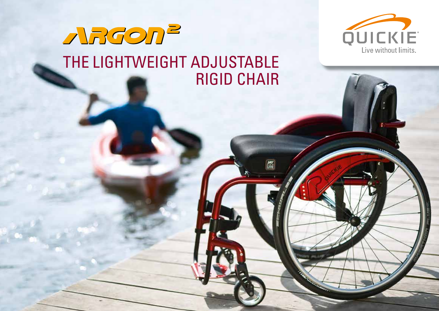

### ARGON<sup>2</sup> THE LIGHTWEIGHT ADJUSTABLE RIGID CHAIR

 $\frac{MN}{MN}$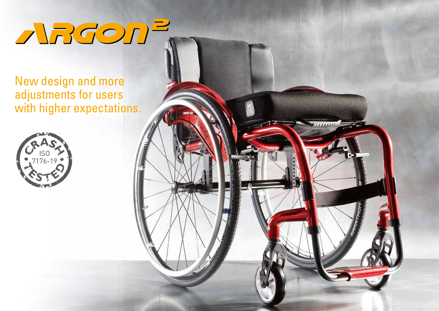# ARGON<sup>2</sup>

 $11111111$ 

New design and more adjustments for users with higher expectations.

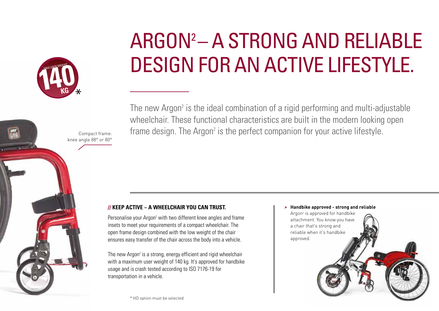

knee angle 88° or 80°

### ARGON2 – A STRONG AND RELIABLE DESIGN FOR AN ACTIVE LIFESTYLE.

The new Argon<sup>2</sup> is the ideal combination of a rigid performing and multi-adjustable wheelchair. These functional characteristics are built in the modern looking open  $_{\text{Compact frame:}}$  frame design. The Argon<sup>2</sup> is the perfect companion for your active lifestyle.

#### **// KEEP ACTIVE – A WHEELCHAIR YOU CAN TRUST.**

Personalise your Argon<sup>2</sup> with two different knee angles and frame insets to meet your requirements of a compact wheelchair. The open frame design combined with the low weight of the chair ensures easy transfer of the chair across the body into a vehicle.

The new Argon<sup>2</sup> is a strong, energy efficient and rigid wheelchair with a maximum user weight of 140 kg. It's approved for handbike usage and is crash tested according to ISO 7176-19 for transportation in a vehicle.

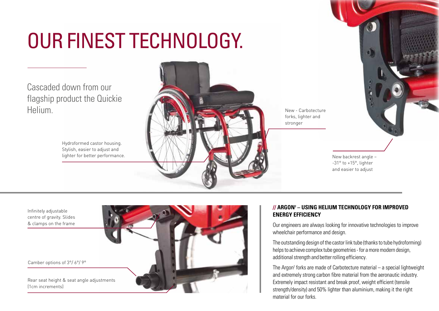### OUR FINEST TECHNOLOGY.

Cascaded down from our flagship product the Quickie **Helium** 

> Hydroformed castor housing. Stylish, easier to adjust and lighter for better performance.



New - Carbotecture forks, lighter and stronger

> New backrest angle – -31° to +15°, lighter and easier to adjust

Infinitely adjustable centre of gravity. Slides & clamps on the frame

Camber options of 3°/ 6°/ 9°

Rear seat height & seat angle adjustments (1cm increments)



#### **// ARGON2 – USING HELIUM TECHNOLOGY FOR IMPROVED ENERGY EFFICIENCY**

Our engineers are always looking for innovative technologies to improve wheelchair performance and design.

The outstanding design of the castor link tube (thanks to tube hydroforming) helps to achieve complex tube geometries - for a more modern design, additional strength and better rolling efficiency.

The Argon<sup>2</sup> forks are made of Carbotecture material – a special lightweight and extremely strong carbon fibre material from the aeronautic industry. Extremely impact resistant and break proof, weight efficient (tensile strength/density) and 50% lighter than aluminium, making it the right material for our forks.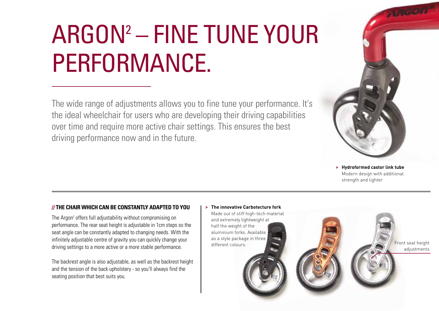## ARGON2 – FINE TUNE YOUR PERFORMANCE.

The wide range of adjustments allows you to fine tune your performance. It's the ideal wheelchair for users who are developing their driving capabilities over time and require more active chair settings. This ensures the best driving performance now and in the future.



**> Hydroformed castor link tube**  Modern design with additional strength and lighter

#### **// THE CHAIR WHICH CAN BE CONSTANTLY ADAPTED TO YOU**

The Argon<sup>2</sup> offers full adjustability without compromising on performance. The rear seat height is adjustable in 1cm steps so the seat angle can be constantly adapted to changing needs. With the infinitely adjustable centre of gravity you can quickly change your driving settings to a more active or a more stable performance.

The backrest angle is also adjustable, as well as the backrest height and the tension of the back upholstery - so you'll always find the seating position that best suits you.

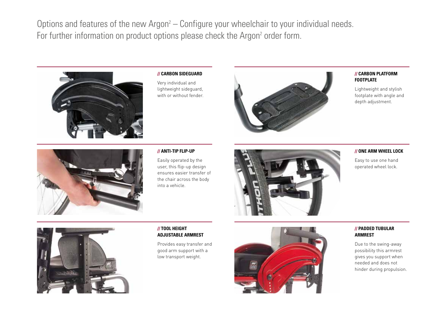Options and features of the new Argon<sup>2</sup> – Configure your wheelchair to your individual needs. For further information on product options please check the Argon<sup>2</sup> order form.



#### **// CARBON SIDEGUARD**

Very individual and lightweight sideguard, with or without fender.



#### **// CARBON PLATFORM FOOTPLATE**

Lightweight and stylish footplate with angle and depth adjustment.



#### **// ANTI-TIP FLIP-UP**

Easily operated by the user, this flip-up design ensures easier transfer of the chair across the body into a vehicle.



#### **// ONE ARM WHEEL LOCK**

Easy to use one hand operated wheel lock.



#### **// TOOL HEIGHT ADJUSTABLE ARMREST**

Provides easy transfer and good arm support with a low transport weight.



#### **// PADDED TUBULAR ARMREST**

Due to the swing-away possibility this armrest gives you support when needed and does not hinder during propulsion.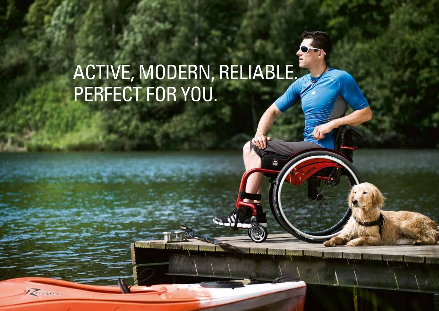### ACTIVE, MODERN, RELIABLE. PERFECT FOR YOU.

Roman

 $\mathbf{Q}$